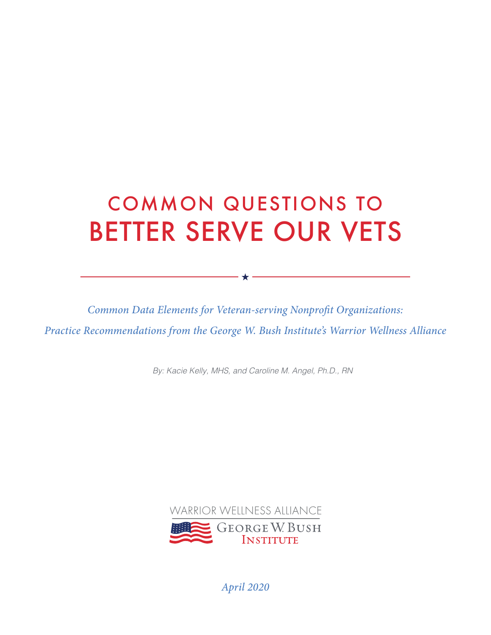# COMMON QUESTIONS TO BETTER SERVE OUR VETS

*Common Data Elements for Veteran-serving Nonprofit Organizations: Practice Recommendations from the George W. Bush Institute's Warrior Wellness Alliance*

 $\star$  -

*By: Kacie Kelly, MHS, and Caroline M. Angel, Ph.D., RN*



*April 2020*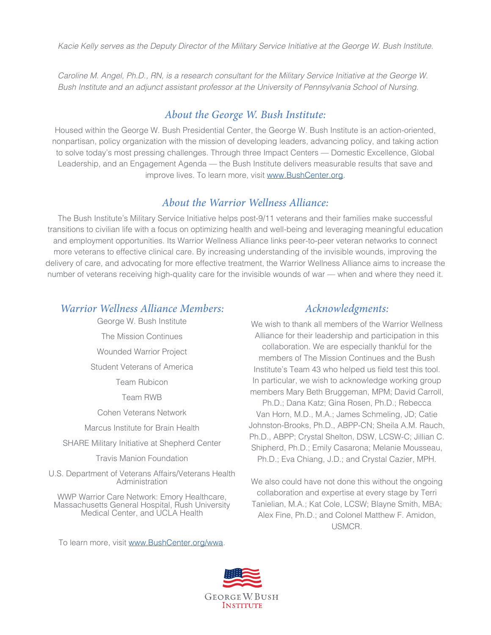*Caroline M. Angel, Ph.D., RN, is a research consultant for the Military Service Initiative at the George W. Bush Institute and an adjunct assistant professor at the University of Pennsylvania School of Nursing.*

#### *About the George W. Bush Institute:*

Housed within the George W. Bush Presidential Center, the George W. Bush Institute is an action-oriented, nonpartisan, policy organization with the mission of developing leaders, advancing policy, and taking action to solve today's most pressing challenges. Through three Impact Centers — Domestic Excellence, Global Leadership, and an Engagement Agenda — the Bush Institute delivers measurable results that save and improve lives. To learn more, visit [www.BushCenter.org.](http://www.BushCenter.org)

#### *About the Warrior Wellness Alliance:*

The Bush Institute's Military Service Initiative helps post-9/11 veterans and their families make successful transitions to civilian life with a focus on optimizing health and well-being and leveraging meaningful education and employment opportunities. Its Warrior Wellness Alliance links peer-to-peer veteran networks to connect more veterans to effective clinical care. By increasing understanding of the invisible wounds, improving the delivery of care, and advocating for more effective treatment, the Warrior Wellness Alliance aims to increase the number of veterans receiving high-quality care for the invisible wounds of war — when and where they need it.

#### *Warrior Wellness Alliance Members:*

George W. Bush Institute The Mission Continues Wounded Warrior Project Student Veterans of America Team Rubicon Team RWB Cohen Veterans Network Marcus Institute for Brain Health

SHARE Military Initiative at Shepherd Center

Travis Manion Foundation

U.S. Department of Veterans Affairs/Veterans Health Administration

WWP Warrior Care Network: Emory Healthcare, Massachusetts General Hospital, Rush University Medical Center, and UCLA Health

To learn more, visit [www.BushCenter.org](http://www.BushCenter.org)/wwa.

#### *Acknowledgments:*

We wish to thank all members of the Warrior Wellness Alliance for their leadership and participation in this collaboration. We are especially thankful for the members of The Mission Continues and the Bush Institute's Team 43 who helped us field test this tool. In particular, we wish to acknowledge working group members Mary Beth Bruggeman, MPM; David Carroll, Ph.D.; Dana Katz; Gina Rosen, Ph.D.; Rebecca Van Horn, M.D., M.A.; James Schmeling, JD; Catie Johnston-Brooks, Ph.D., ABPP-CN; Sheila A.M. Rauch, Ph.D., ABPP; Crystal Shelton, DSW, LCSW-C; Jillian C. Shipherd, Ph.D.; Emily Casarona; Melanie Mousseau, Ph.D.; Eva Chiang, J.D.; and Crystal Cazier, MPH.

We also could have not done this without the ongoing collaboration and expertise at every stage by Terri Tanielian, M.A.; Kat Cole, LCSW; Blayne Smith, MBA; Alex Fine, Ph.D.; and Colonel Matthew F. Amidon, USMCR.

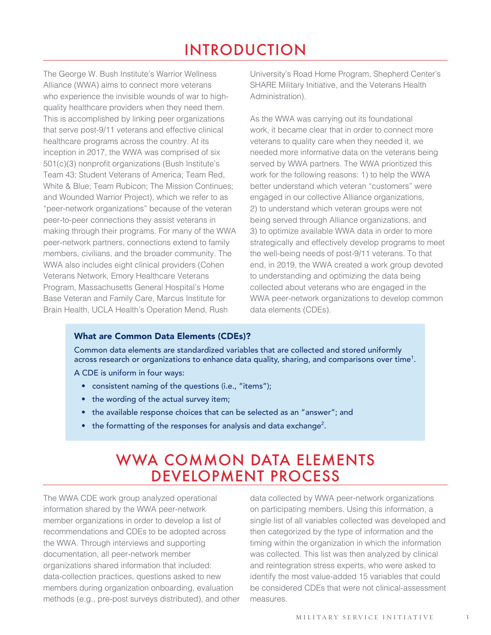# INTRODUCTION

The George W. Bush Institute's Warrior Wellness Alliance (WWA) aims to connect more veterans who experience the invisible wounds of war to highquality healthcare providers when they need them. This is accomplished by linking peer organizations that serve post-9/11 veterans and effective clinical healthcare programs across the country. At its inception in 2017, the WWA was comprised of six 501(c)(3) nonprofit organizations (Bush Institute's Team 43; Student Veterans of America; Team Red, White & Blue; Team Rubicon; The Mission Continues; and Wounded Warrior Project), which we refer to as "peer-network organizations" because of the veteran peer-to-peer connections they assist veterans in making through their programs. For many of the WWA peer-network partners, connections extend to family members, civilians, and the broader community. The WWA also includes eight clinical providers (Cohen Veterans Network, Emory Healthcare Veterans Program, Massachusetts General Hospital's Home Base Veteran and Family Care, Marcus Institute for Brain Health, UCLA Health's Operation Mend, Rush

University's Road Home Program, Shepherd Center's SHARE Military Initiative, and the Veterans Health Administration).

As the WWA was carrying out its foundational work, it became clear that in order to connect more veterans to quality care when they needed it, we needed more informative data on the veterans being served by WWA partners. The WWA prioritized this work for the following reasons: 1) to help the WWA better understand which veteran "customers" were engaged in our collective Alliance organizations, 2) to understand which veteran groups were not being served through Alliance organizations, and 3) to optimize available WWA data in order to more strategically and effectively develop programs to meet the well-being needs of post-9/11 veterans. To that end, in 2019, the WWA created a work group devoted to understanding and optimizing the data being collected about veterans who are engaged in the WWA peer-network organizations to develop common data elements (CDEs).

#### What are Common Data Elements (CDEs)?

Common data elements are standardized variables that are collected and stored uniformly across research or organizations to enhance data quality, sharing, and comparisons over time<sup>1</sup>.

A CDE is uniform in four ways:

- consistent naming of the questions (i.e., "items");
- the wording of the actual survey item;
- the available response choices that can be selected as an "answer"; and
- the formatting of the responses for analysis and data exchange<sup>2</sup>.

### WWA COMMON DATA ELEMENTS DEVELOPMENT PROCESS

The WWA CDE work group analyzed operational information shared by the WWA peer-network member organizations in order to develop a list of recommendations and CDEs to be adopted across the WWA. Through interviews and supporting documentation, all peer-network member organizations shared information that included: data-collection practices, questions asked to new members during organization onboarding, evaluation methods (e.g., pre-post surveys distributed), and other

data collected by WWA peer-network organizations on participating members. Using this information, a single list of all variables collected was developed and then categorized by the type of information and the timing within the organization in which the information was collected. This list was then analyzed by clinical and reintegration stress experts, who were asked to identify the most value-added 15 variables that could be considered CDEs that were not clinical-assessment measures.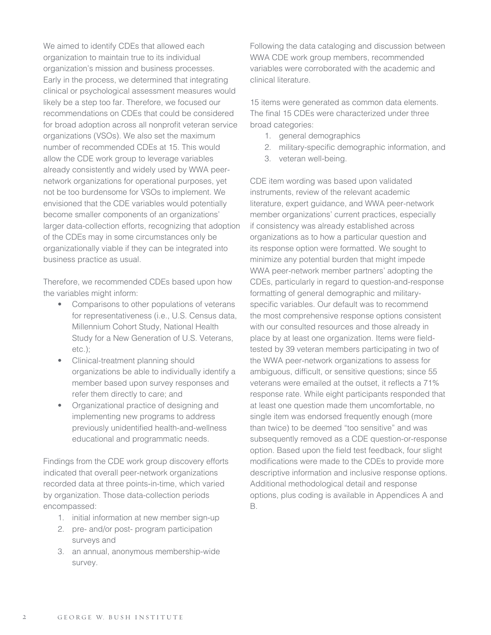We aimed to identify CDEs that allowed each organization to maintain true to its individual organization's mission and business processes. Early in the process, we determined that integrating clinical or psychological assessment measures would likely be a step too far. Therefore, we focused our recommendations on CDEs that could be considered for broad adoption across all nonprofit veteran service organizations (VSOs). We also set the maximum number of recommended CDEs at 15. This would allow the CDE work group to leverage variables already consistently and widely used by WWA peernetwork organizations for operational purposes, yet not be too burdensome for VSOs to implement. We envisioned that the CDE variables would potentially become smaller components of an organizations' larger data-collection efforts, recognizing that adoption of the CDEs may in some circumstances only be organizationally viable if they can be integrated into business practice as usual.

Therefore, we recommended CDEs based upon how the variables might inform:

- Comparisons to other populations of veterans for representativeness (i.e., U.S. Census data, Millennium Cohort Study, National Health Study for a New Generation of U.S. Veterans, etc.);
- Clinical-treatment planning should organizations be able to individually identify a member based upon survey responses and refer them directly to care; and
- Organizational practice of designing and implementing new programs to address previously unidentified health-and-wellness educational and programmatic needs.

Findings from the CDE work group discovery efforts indicated that overall peer-network organizations recorded data at three points-in-time, which varied by organization. Those data-collection periods encompassed:

- 1. initial information at new member sign-up
- 2. pre- and/or post- program participation surveys and
- 3. an annual, anonymous membership-wide survey.

Following the data cataloging and discussion between WWA CDE work group members, recommended variables were corroborated with the academic and clinical literature.

15 items were generated as common data elements. The final 15 CDEs were characterized under three broad categories:

- 1. general demographics
- 2. military-specific demographic information, and
- 3. veteran well-being.

CDE item wording was based upon validated instruments, review of the relevant academic literature, expert guidance, and WWA peer-network member organizations' current practices, especially if consistency was already established across organizations as to how a particular question and its response option were formatted. We sought to minimize any potential burden that might impede WWA peer-network member partners' adopting the CDEs, particularly in regard to question-and-response formatting of general demographic and militaryspecific variables. Our default was to recommend the most comprehensive response options consistent with our consulted resources and those already in place by at least one organization. Items were fieldtested by 39 veteran members participating in two of the WWA peer-network organizations to assess for ambiguous, difficult, or sensitive questions; since 55 veterans were emailed at the outset, it reflects a 71% response rate. While eight participants responded that at least one question made them uncomfortable, no single item was endorsed frequently enough (more than twice) to be deemed "too sensitive" and was subsequently removed as a CDE question-or-response option. Based upon the field test feedback, four slight modifications were made to the CDEs to provide more descriptive information and inclusive response options. Additional methodological detail and response options, plus coding is available in Appendices A and B.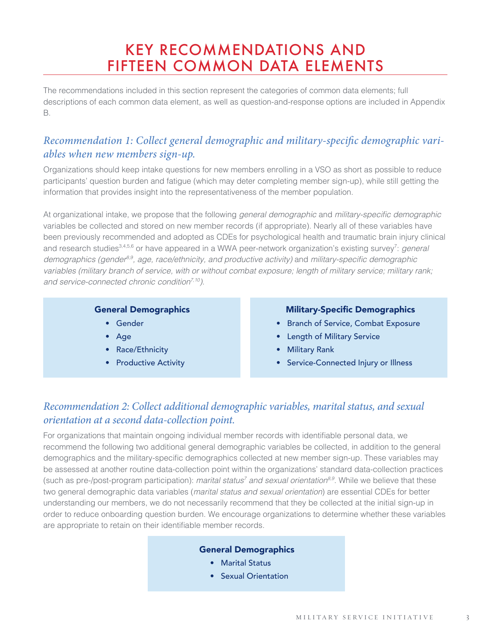# KEY RECOMMENDATIONS AND FIFTEEN COMMON DATA ELEMENTS

The recommendations included in this section represent the categories of common data elements; full descriptions of each common data element, as well as question-and-response options are included in Appendix B.

### *Recommendation 1: Collect general demographic and military-specific demographic variables when new members sign-up.*

Organizations should keep intake questions for new members enrolling in a VSO as short as possible to reduce participants' question burden and fatigue (which may deter completing member sign-up), while still getting the information that provides insight into the representativeness of the member population.

At organizational intake, we propose that the following *general demographic* and military-specific demographic variables be collected and stored on new member records (if appropriate). Nearly all of these variables have been previously recommended and adopted as CDEs for psychological health and traumatic brain injury clinical and research studies<sup>3,4,5,6</sup> or have appeared in a WWA peer-network organization's existing survey<sup>7</sup>: *general demographics (gender8,9, age, race/ethnicity, and productive activity)* and military-specific demographic *variables (military branch of service, with or without combat exposure; length of military service; military rank; and service-connected chronic condition7,10)*.

#### General Demographics

- Gender
- Age
- Race/Ethnicity
- Productive Activity

#### Military-Specific Demographics

- Branch of Service, Combat Exposure
- Length of Military Service
- Military Rank
- Service-Connected Injury or Illness

### *Recommendation 2: Collect additional demographic variables, marital status, and sexual orientation at a second data-collection point.*

For organizations that maintain ongoing individual member records with identifiable personal data, we recommend the following two additional general demographic variables be collected, in addition to the general demographics and the military-specific demographics collected at new member sign-up. These variables may be assessed at another routine data-collection point within the organizations' standard data-collection practices (such as pre-/post-program participation): *marital status<sup>7</sup> and sexual orientation<sup>8,9</sup>.* While we believe that these two general demographic data variables (*marital status and sexual orientation*) are essential CDEs for better understanding our members, we do not necessarily recommend that they be collected at the initial sign-up in order to reduce onboarding question burden. We encourage organizations to determine whether these variables are appropriate to retain on their identifiable member records.

#### General Demographics

- Marital Status
- Sexual Orientation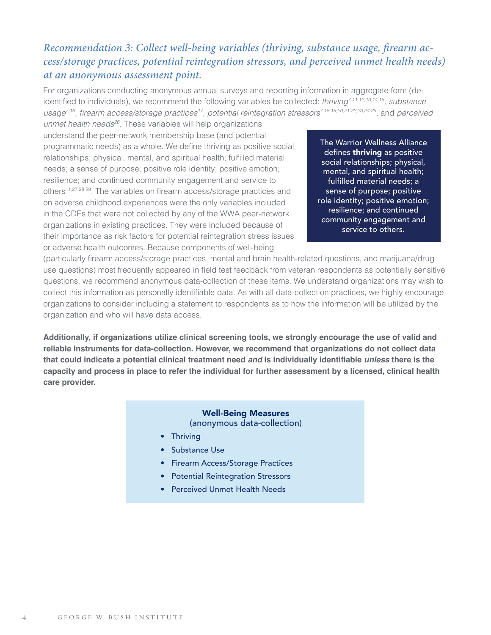### *Recommendation 3: Collect well-being variables (thriving, substance usage, firearm access/storage practices, potential reintegration stressors, and perceived unmet health needs) at an anonymous assessment point.*

For organizations conducting anonymous annual surveys and reporting information in aggregate form (deidentified to individuals), we recommend the following variables be collected: *thriving7,11,12,13,14,15, substance usage7,16*, firearm access/storage practices*17, potential reintegration stressors7,18,19,20,21,22,23,24,25,* and *perceived* 

*unmet health needs26*. These variables will help organizations understand the peer-network membership base (and potential programmatic needs) as a whole. We define thriving as positive social relationships; physical, mental, and spiritual health; fulfilled material needs; a sense of purpose; positive role identity; positive emotion; resilience; and continued community engagement and service to others<sup>11,27,28,29</sup>. The variables on firearm access/storage practices and on adverse childhood experiences were the only variables included in the CDEs that were not collected by any of the WWA peer-network organizations in existing practices. They were included because of their importance as risk factors for potential reintegration stress issues or adverse health outcomes. Because components of well-being

The Warrior Wellness Alliance defines thriving as positive social relationships; physical, mental, and spiritual health; fulfilled material needs; a sense of purpose; positive role identity; positive emotion; resilience; and continued community engagement and service to others.

(particularly firearm access/storage practices, mental and brain health-related questions, and marijuana/drug use questions) most frequently appeared in field test feedback from veteran respondents as potentially sensitive questions, we recommend anonymous data-collection of these items. We understand organizations may wish to collect this information as personally identifiable data. As with all data-collection practices, we highly encourage organizations to consider including a statement to respondents as to how the information will be utilized by the organization and who will have data access.

**Additionally, if organizations utilize clinical screening tools, we strongly encourage the use of valid and reliable instruments for data-collection. However, we recommend that organizations do not collect data that could indicate a potential clinical treatment need** *and* **is individually identifiable** *unless* **there is the capacity and process in place to refer the individual for further assessment by a licensed, clinical health care provider.** 

#### Well-Being Measures (anonymous data-collection)

- Thriving
- Substance Use
- Firearm Access/Storage Practices
- Potential Reintegration Stressors
- Perceived Unmet Health Needs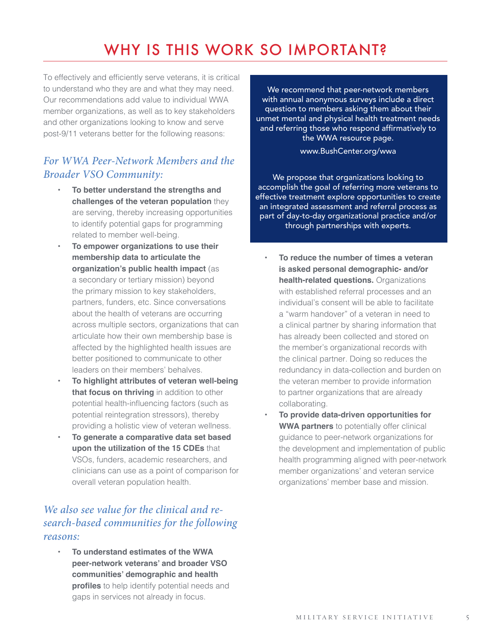# WHY IS THIS WORK SO IMPORTANT?

To effectively and efficiently serve veterans, it is critical to understand who they are and what they may need. Our recommendations add value to individual WWA member organizations, as well as to key stakeholders and other organizations looking to know and serve post-9/11 veterans better for the following reasons:

### *For WWA Peer-Network Members and the Broader VSO Community:*

- **• To better understand the strengths and challenges of the veteran population** they are serving, thereby increasing opportunities to identify potential gaps for programming related to member well-being.
- **• To empower organizations to use their membership data to articulate the organization's public health impact** (as a secondary or tertiary mission) beyond the primary mission to key stakeholders, partners, funders, etc. Since conversations about the health of veterans are occurring across multiple sectors, organizations that can articulate how their own membership base is affected by the highlighted health issues are better positioned to communicate to other leaders on their members' behalves.
- **• To highlight attributes of veteran well-being that focus on thriving** in addition to other potential health-influencing factors (such as potential reintegration stressors), thereby providing a holistic view of veteran wellness.
- **• To generate a comparative data set based upon the utilization of the 15 CDEs** that VSOs, funders, academic researchers, and clinicians can use as a point of comparison for overall veteran population health.

### *We also see value for the clinical and research-based communities for the following reasons:*

**• To understand estimates of the WWA peer-network veterans' and broader VSO communities' demographic and health profiles** to help identify potential needs and gaps in services not already in focus.

We recommend that peer-network members with annual anonymous surveys include a direct question to members asking them about their unmet mental and physical health treatment needs and referring those who respond affirmatively to the WWA resource page.

www.BushCenter.org/wwa

We propose that organizations looking to accomplish the goal of referring more veterans to effective treatment explore opportunities to create an integrated assessment and referral process as part of day-to-day organizational practice and/or through partnerships with experts.

- **• To reduce the number of times a veteran is asked personal demographic- and/or health-related questions.** Organizations with established referral processes and an individual's consent will be able to facilitate a "warm handover" of a veteran in need to a clinical partner by sharing information that has already been collected and stored on the member's organizational records with the clinical partner. Doing so reduces the redundancy in data-collection and burden on the veteran member to provide information to partner organizations that are already collaborating.
- **• To provide data-driven opportunities for WWA partners** to potentially offer clinical guidance to peer-network organizations for the development and implementation of public health programming aligned with peer-network member organizations' and veteran service organizations' member base and mission.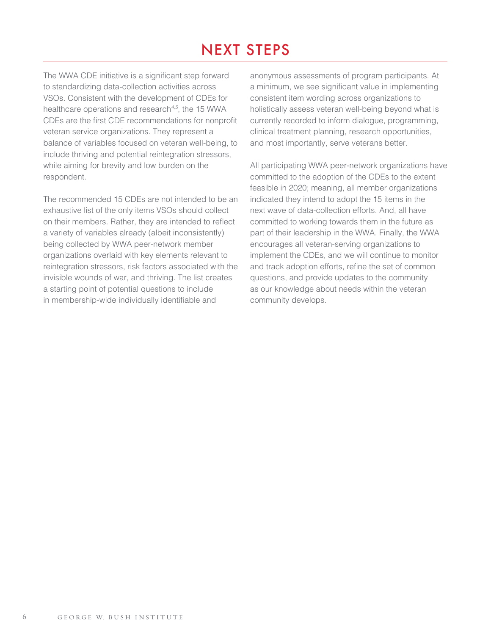# NEXT STEPS

The WWA CDE initiative is a significant step forward to standardizing data-collection activities across VSOs. Consistent with the development of CDEs for healthcare operations and research*4,5*, the 15 WWA CDEs are the first CDE recommendations for nonprofit veteran service organizations. They represent a balance of variables focused on veteran well-being, to include thriving and potential reintegration stressors, while aiming for brevity and low burden on the respondent.

The recommended 15 CDEs are not intended to be an exhaustive list of the only items VSOs should collect on their members. Rather, they are intended to reflect a variety of variables already (albeit inconsistently) being collected by WWA peer-network member organizations overlaid with key elements relevant to reintegration stressors, risk factors associated with the invisible wounds of war, and thriving. The list creates a starting point of potential questions to include in membership-wide individually identifiable and

anonymous assessments of program participants. At a minimum, we see significant value in implementing consistent item wording across organizations to holistically assess veteran well-being beyond what is currently recorded to inform dialogue, programming, clinical treatment planning, research opportunities, and most importantly, serve veterans better.

All participating WWA peer-network organizations have committed to the adoption of the CDEs to the extent feasible in 2020; meaning, all member organizations indicated they intend to adopt the 15 items in the next wave of data-collection efforts. And, all have committed to working towards them in the future as part of their leadership in the WWA. Finally, the WWA encourages all veteran-serving organizations to implement the CDEs, and we will continue to monitor and track adoption efforts, refine the set of common questions, and provide updates to the community as our knowledge about needs within the veteran community develops.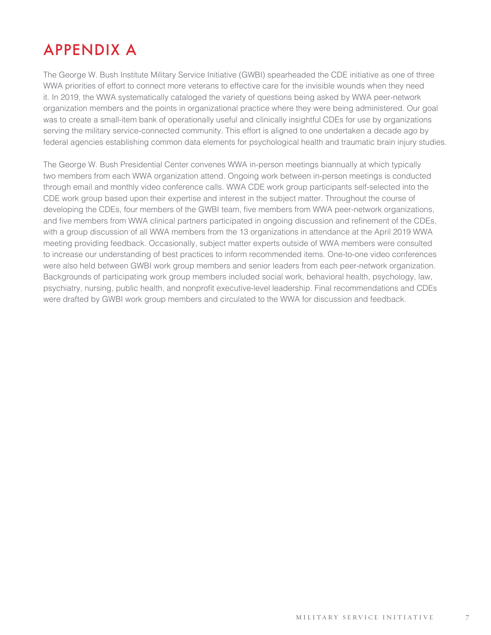# APPENDIX A

The George W. Bush Institute Military Service Initiative (GWBI) spearheaded the CDE initiative as one of three WWA priorities of effort to connect more veterans to effective care for the invisible wounds when they need it. In 2019, the WWA systematically cataloged the variety of questions being asked by WWA peer-network organization members and the points in organizational practice where they were being administered. Our goal was to create a small-item bank of operationally useful and clinically insightful CDEs for use by organizations serving the military service-connected community. This effort is aligned to one undertaken a decade ago by federal agencies establishing common data elements for psychological health and traumatic brain injury studies.

The George W. Bush Presidential Center convenes WWA in-person meetings biannually at which typically two members from each WWA organization attend. Ongoing work between in-person meetings is conducted through email and monthly video conference calls. WWA CDE work group participants self-selected into the CDE work group based upon their expertise and interest in the subject matter. Throughout the course of developing the CDEs, four members of the GWBI team, five members from WWA peer-network organizations, and five members from WWA clinical partners participated in ongoing discussion and refinement of the CDEs, with a group discussion of all WWA members from the 13 organizations in attendance at the April 2019 WWA meeting providing feedback. Occasionally, subject matter experts outside of WWA members were consulted to increase our understanding of best practices to inform recommended items. One-to-one video conferences were also held between GWBI work group members and senior leaders from each peer-network organization. Backgrounds of participating work group members included social work, behavioral health, psychology, law, psychiatry, nursing, public health, and nonprofit executive-level leadership. Final recommendations and CDEs were drafted by GWBI work group members and circulated to the WWA for discussion and feedback.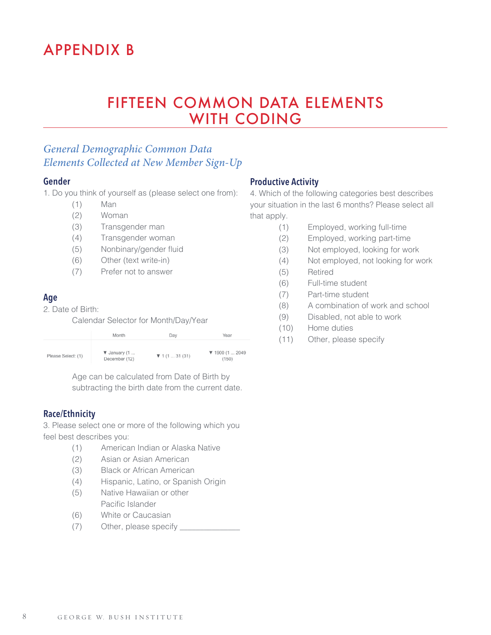# APPENDIX B

## FIFTEEN COMMON DATA ELEMENTS WITH CODING

### *General Demographic Common Data Elements Collected at New Member Sign-Up*

#### **Gender**

1. Do you think of yourself as (please select one from):

- (1) Man
- (2) Woman
- (3) Transgender man
- (4) Transgender woman
- (5) Nonbinary/gender fluid
- (6) Other (text write-in)
- (7) Prefer not to answer

#### **Age**

2. Date of Birth:

Calendar Selector for Month/Day/Year

|                    | Month                                            | Dav                                | Year                                        |
|--------------------|--------------------------------------------------|------------------------------------|---------------------------------------------|
| Please Select: (1) | $\blacktriangledown$ January (1<br>December (12) | $\blacktriangledown$ 1 (1  31 (31) | $\blacktriangledown$ 1900 (1  2049<br>(150) |

Age can be calculated from Date of Birth by subtracting the birth date from the current date.

#### **Race/Ethnicity**

3. Please select one or more of the following which you feel best describes you:

- (1) American Indian or Alaska Native
- (2) Asian or Asian American
- (3) Black or African American
- (4) Hispanic, Latino, or Spanish Origin
- (5) Native Hawaiian or other Pacific Islander
- (6) White or Caucasian
- (7) Other, please specify \_

#### **Productive Activity**

4. Which of the following categories best describes your situation in the last 6 months? Please select all that apply.

- (1) Employed, working full-time
- (2) Employed, working part-time
- (3) Not employed, looking for work
- (4) Not employed, not looking for work
- (5) Retired
- (6) Full-time student
- (7) Part-time student
- (8) A combination of work and school
- (9) Disabled, not able to work
- (10) Home duties
- (11) Other, please specify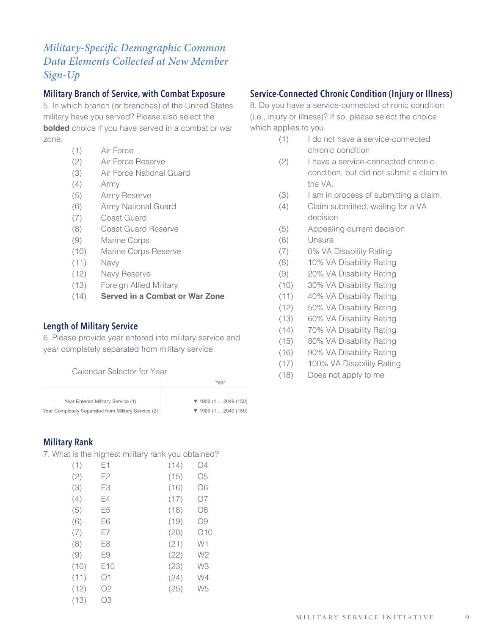### *Military-Specific Demographic Common Data Elements Collected at New Member Sign-Up*

#### **Military Branch of Service, with Combat Exposure**

5. In which branch (or branches) of the United States military have you served? Please also select the **bolded** choice if you have served in a combat or war zone.

- (1) Air Force
- (2) Air Force Reserve
- (3) Air Force National Guard
- (4) Army
- (5) Army Reserve
- (6) Army National Guard
- (7) Coast Guard
- (8) Coast Guard Reserve
- (9) Marine Corps
- (10) Marine Corps Reserve
- (11) Navy
- (12) Navy Reserve
- (13) Foreign Allied Military
- (14) **Served in a Combat or War Zone**

#### **Length of Military Service**

6. Please provide year entered into military service and year completely separated from military service.

Calendar Selector for Year

|                                                     | Year                                     |  |  |
|-----------------------------------------------------|------------------------------------------|--|--|
|                                                     |                                          |  |  |
| Year Entered Military Service (1)                   | $\blacktriangledown$ 1900 (1  2049 (150) |  |  |
| Year Completely Separated from Military Service (2) | $\blacktriangledown$ 1900 (1  2049 (150) |  |  |

#### **Military Rank**

7. What is the highest military rank you obtained?

| (1)  | E1              | (14) | O4             |
|------|-----------------|------|----------------|
| (2)  | E2              | (15) | O5             |
| (3)  | E3              | (16) | Ο6             |
| (4)  | E4              | (17) | 07             |
| (5)  | E <sub>5</sub>  | (18) | O8             |
| (6)  | E6              | (19) | Ο9             |
| (7)  | E7              | (20) | 010            |
| (8)  | E8              | (21) | W1             |
| (9)  | E9              | (22) | W2             |
| (10) | E <sub>10</sub> | (23) | WЗ             |
| (11) | Ο1              | (24) | W4             |
| (12) | O <sub>2</sub>  | (25) | W <sub>5</sub> |
| (13) | OЗ              |      |                |

#### **Service-Connected Chronic Condition (Injury or Illness)**

8. Do you have a service-connected chronic condition (i.e., injury or illness)? If so, please select the choice which applies to you.

- (1) I do not have a service-connected chronic condition
- (2) I have a service-connected chronic condition, but did not submit a claim to the VA.
- (3) I am in process of submitting a claim.
- (4) Claim submitted, waiting for a VA decision
- (5) Appealing current decision
- (6) Unsure
- (7) 0% VA Disability Rating
- (8) 10% VA Disability Rating
- (9) 20% VA Disability Rating
- (10) 30% VA Disability Rating
- (11) 40% VA Disability Rating
- (12) 50% VA Disability Rating
- (13) 60% VA Disability Rating
- (14) 70% VA Disability Rating
- (15) 80% VA Disability Rating
- (16) 90% VA Disability Rating
- (17) 100% VA Disability Rating
- (18) Does not apply to me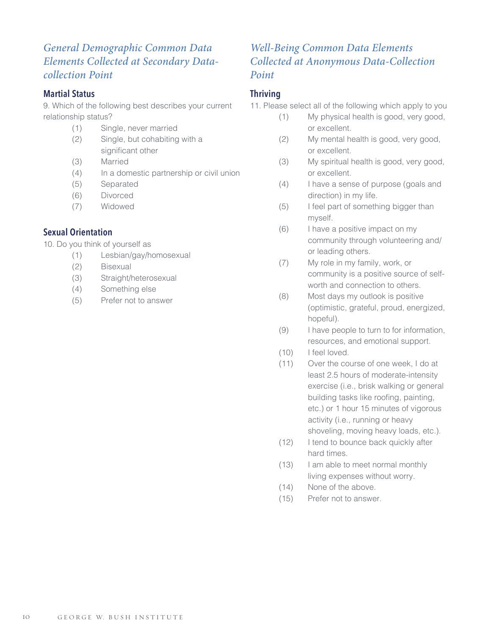### *General Demographic Common Data Elements Collected at Secondary Datacollection Point*

#### **Martial Status**

9. Which of the following best describes your current relationship status?

- (1) Single, never married
- (2) Single, but cohabiting with a significant other
- (3) Married
- (4) In a domestic partnership or civil union
- (5) Separated
- (6) Divorced
- (7) Widowed

#### **Sexual Orientation**

10. Do you think of yourself as

- (1) Lesbian/gay/homosexual
- (2) Bisexual
- (3) Straight/heterosexual
- (4) Something else
- (5) Prefer not to answer

### *Well-Being Common Data Elements Collected at Anonymous Data-Collection Point*

#### **Thriving**

11. Please select all of the following which apply to you

- (1) My physical health is good, very good, or excellent.
- (2) My mental health is good, very good, or excellent.
- (3) My spiritual health is good, very good, or excellent.
- (4) I have a sense of purpose (goals and direction) in my life.
- (5) I feel part of something bigger than myself.
- (6) I have a positive impact on my community through volunteering and/ or leading others.
- (7) My role in my family, work, or community is a positive source of self worth and connection to others.
- (8) Most days my outlook is positive (optimistic, grateful, proud, energized, hopeful).
- (9) I have people to turn to for information, resources, and emotional support.
- (10) I feel loved.
- (11) Over the course of one week, I do at least 2.5 hours of moderate-intensity exercise (i.e., brisk walking or general building tasks like roofing, painting, etc.) or 1 hour 15 minutes of vigorous activity (i.e., running or heavy shoveling, moving heavy loads, etc.).
- (12) I tend to bounce back quickly after hard times.
- (13) I am able to meet normal monthly living expenses without worry.
- (14) None of the above.
- (15) Prefer not to answer.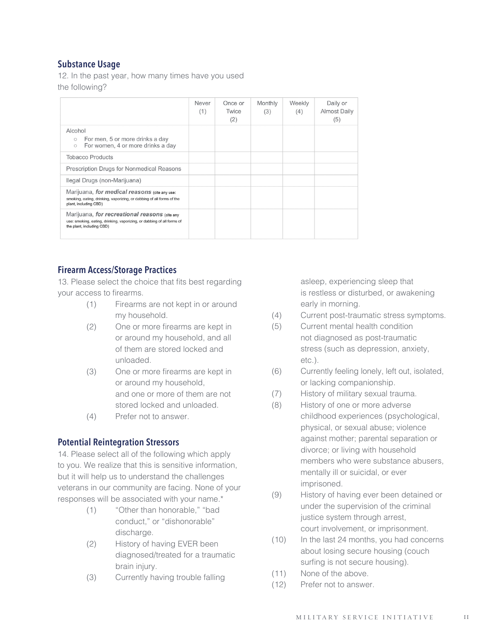#### **Substance Usage**

12. In the past year, how many times have you used the following?

|                                                                                                                                                      | Never<br>(1) | Once or<br>Twice<br>(2) | Monthly<br>(3) | Weekly<br>(4) | Daily or<br><b>Almost Daily</b><br>(5) |
|------------------------------------------------------------------------------------------------------------------------------------------------------|--------------|-------------------------|----------------|---------------|----------------------------------------|
| Alcohol<br>For men, 5 or more drinks a day<br>$\circ$<br>For women, 4 or more drinks a day<br>$\circ$                                                |              |                         |                |               |                                        |
| <b>Tobacco Products</b>                                                                                                                              |              |                         |                |               |                                        |
| Prescription Drugs for Nonmedical Reasons                                                                                                            |              |                         |                |               |                                        |
| Ilegal Drugs (non-Marijuana)                                                                                                                         |              |                         |                |               |                                        |
| Marijuana, for medical reasons (cite any use:<br>smoking, eating, drinking, vaporizing, or dabbing of all forms of the<br>plant, including CBD)      |              |                         |                |               |                                        |
| Marijuana, for recreational reasons (cite any<br>use: smoking, eating, drinking, vaporizing, or dabbing of all forms of<br>the plant, including CBD) |              |                         |                |               |                                        |

#### **Firearm Access/Storage Practices**

13. Please select the choice that fits best regarding your access to firearms.

- (1) Firearms are not kept in or around my household.
- (2) One or more firearms are kept in or around my household, and all of them are stored locked and unloaded.
- (3) One or more firearms are kept in or around my household, and one or more of them are not stored locked and unloaded.
- (4) Prefer not to answer.

#### **Potential Reintegration Stressors**

14. Please select all of the following which apply to you. We realize that this is sensitive information, but it will help us to understand the challenges veterans in our community are facing. None of your responses will be associated with your name.\*

- (1) "Other than honorable," "bad conduct," or "dishonorable" discharge.
- (2) History of having EVER been diagnosed/treated for a traumatic brain injury.
- (3) Currently having trouble falling

 asleep, experiencing sleep that is restless or disturbed, or awakening early in morning.

- (4) Current post-traumatic stress symptoms.
- (5) Current mental health condition not diagnosed as post-traumatic stress (such as depression, anxiety, etc.).
- (6) Currently feeling lonely, left out, isolated, or lacking companionship.
- (7) History of military sexual trauma.
- (8) History of one or more adverse childhood experiences (psychological, physical, or sexual abuse; violence against mother; parental separation or divorce; or living with household members who were substance abusers, mentally ill or suicidal, or ever imprisoned.
- (9) History of having ever been detained or under the supervision of the criminal justice system through arrest, court involvement, or imprisonment.
- (10) In the last 24 months, you had concerns about losing secure housing (couch surfing is not secure housing).
- (11) None of the above.
- (12) Prefer not to answer.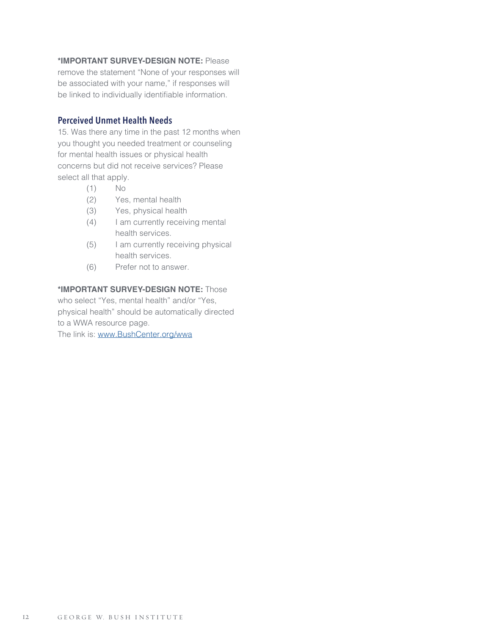#### **\*IMPORTANT SURVEY-DESIGN NOTE:** Please

remove the statement "None of your responses will be associated with your name," if responses will be linked to individually identifiable information.

#### **Perceived Unmet Health Needs**

15. Was there any time in the past 12 months when you thought you needed treatment or counseling for mental health issues or physical health concerns but did not receive services? Please select all that apply.

- (1) No
- (2) Yes, mental health
- (3) Yes, physical health
- (4) I am currently receiving mental health services.
- (5) I am currently receiving physical health services.
- (6) Prefer not to answer.

#### **\*IMPORTANT SURVEY-DESIGN NOTE:** Those

who select "Yes, mental health" and/or "Yes, physical health" should be automatically directed to a WWA resource page.

The link is: [www.BushCenter.org/wwa](http://www.BushCenter.org/wwa )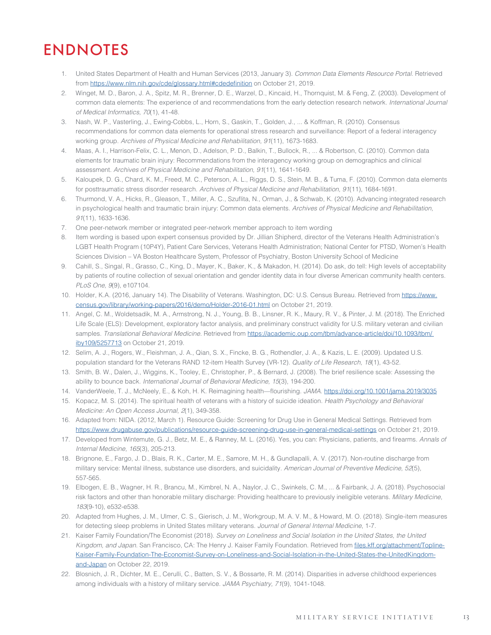# ENDNOTES

- 1. United States Department of Health and Human Services (2013, January 3). *Common Data Elements Resource Portal*. Retrieved from <https://www.nlm.nih.gov/cde/glossary.html#cdedefinition> on October 21, 2019.
- 2. Winget, M. D., Baron, J. A., Spitz, M. R., Brenner, D. E., Warzel, D., Kincaid, H., Thornquist, M. & Feng, Z. (2003). Development of common data elements: The experience of and recommendations from the early detection research network. *International Journal of Medical Informatics, 70*(1), 41-48.
- 3. Nash, W. P., Vasterling, J., Ewing-Cobbs, L., Horn, S., Gaskin, T., Golden, J., ... & Koffman, R. (2010). Consensus recommendations for common data elements for operational stress research and surveillance: Report of a federal interagency working group. *Archives of Physical Medicine and Rehabilitation, 91*(11), 1673-1683.
- 4. Maas, A. I., Harrison-Felix, C. L., Menon, D., Adelson, P. D., Balkin, T., Bullock, R., ... & Robertson, C. (2010). Common data elements for traumatic brain injury: Recommendations from the interagency working group on demographics and clinical assessment. *Archives of Physical Medicine and Rehabilitation, 91*(11), 1641-1649.
- 5. Kaloupek, D. G., Chard, K. M., Freed, M. C., Peterson, A. L., Riggs, D. S., Stein, M. B., & Tuma, F. (2010). Common data elements for posttraumatic stress disorder research. *Archives of Physical Medicine and Rehabilitation, 91*(11), 1684-1691.
- 6. Thurmond, V. A., Hicks, R., Gleason, T., Miller, A. C., Szuflita, N., Orman, J., & Schwab, K. (2010). Advancing integrated research in psychological health and traumatic brain injury: Common data elements. *Archives of Physical Medicine and Rehabilitation, 91*(11), 1633-1636.
- 7. One peer-network member or integrated peer-network member approach to item wording
- 8. Item wording is based upon expert consensus provided by Dr. Jillian Shipherd, director of the Veterans Health Administration's LGBT Health Program (10P4Y), Patient Care Services, Veterans Health Administration; National Center for PTSD, Women's Health Sciences Division – VA Boston Healthcare System, Professor of Psychiatry, Boston University School of Medicine
- 9. Cahill, S., Singal, R., Grasso, C., King, D., Mayer, K., Baker, K., & Makadon, H. (2014). Do ask, do tell: High levels of acceptability by patients of routine collection of sexual orientation and gender identity data in four diverse American community health centers. *PLoS One, 9*(9), e107104.
- 10. Holder, K.A. (2016, January 14). The Disability of Veterans. Washington, DC: U.S. Census Bureau. Retrieved from [https://www.](https://www.census.gov/library/working-papers/2016/demo/Holder-2016-01.html) [census.gov/library/working-papers/2016/demo/Holder-2016-01.html](https://www.census.gov/library/working-papers/2016/demo/Holder-2016-01.html) on October 21, 2019.
- 11. Angel, C. M., Woldetsadik, M. A., Armstrong, N. J., Young, B. B., Linsner, R. K., Maury, R. V., & Pinter, J. M. (2018). The Enriched Life Scale (ELS): Development, exploratory factor analysis, and preliminary construct validity for U.S. military veteran and civilian samples. *Translational Behavioral Medicine.* Retrieved from [https://academic.oup.com/tbm/advance-article/doi/10.1093/tbm/](https://academic.oup.com/tbm/advance-article/doi/10.1093/tbm/ iby109/5257713)  [iby109/5257713](https://academic.oup.com/tbm/advance-article/doi/10.1093/tbm/ iby109/5257713) on October 21, 2019.
- 12. Selim, A. J., Rogers, W., Fleishman, J. A., Qian, S. X., Fincke, B. G., Rothendler, J. A., & Kazis, L. E. (2009). Updated U.S. population standard for the Veterans RAND 12-item Health Survey (VR-12). *Quality of Life Research, 18*(1), 43-52.
- 13. Smith, B. W., Dalen, J., Wiggins, K., Tooley, E., Christopher, P., & Bernard, J. (2008). The brief resilience scale: Assessing the ability to bounce back. *International Journal of Behavioral Medicine, 15*(3), 194-200.
- 14. VanderWeele, T. J., McNeely, E., & Koh, H. K. Reimagining health—flourishing. *JAMA*.<https://doi.org/10.1001/jama.2019/3035>
- 15. Kopacz, M. S. (2014). The spiritual health of veterans with a history of suicide ideation. *Health Psychology and Behavioral Medicine: An Open Access Journal, 2*(1), 349-358.
- 16. Adapted from: NIDA. (2012, March 1). Resource Guide: Screening for Drug Use in General Medical Settings. Retrieved from <https://www.drugabuse.gov/publications/resource-guide-screening-drug-use-in-general-medical-settings>on October 21, 2019.
- 17. Developed from Wintemute, G. J., Betz, M. E., & Ranney, M. L. (2016). Yes, you can: Physicians, patients, and firearms. *Annals of Internal Medicine, 165*(3), 205-213.
- 18. Brignone, E., Fargo, J. D., Blais, R. K., Carter, M. E., Samore, M. H., & Gundlapalli, A. V. (2017). Non-routine discharge from military service: Mental illness, substance use disorders, and suicidality. *American Journal of Preventive Medicine, 52*(5), 557-565.
- 19. Elbogen, E. B., Wagner, H. R., Brancu, M., Kimbrel, N. A., Naylor, J. C., Swinkels, C. M., ... & Fairbank, J. A. (2018). Psychosocial risk factors and other than honorable military discharge: Providing healthcare to previously ineligible veterans. *Military Medicine, 183*(9-10), e532-e538.
- 20. Adapted from Hughes, J. M., Ulmer, C. S., Gierisch, J. M., Workgroup, M. A. V. M., & Howard, M. O. (2018). Single-item measures for detecting sleep problems in United States military veterans. *Journal of General Internal Medicine*, 1-7.
- 21. Kaiser Family Foundation/The Economist (2018). *Survey on Loneliness and Social Isolation in the United States, the United Kingdom, and Japan*. San Francisco, CA: The Henry J. Kaiser Family Foundation. Retrieved from [files.kff.org/attachment/Topline-](http://files.kff.org/attachment/Topline-Kaiser-Family-Foundation-The-Economist-Survey-on-Loneliness-and-Social-Isolation-in-the-United-States-the-UnitedKingdom-and-Japan)[Kaiser-Family-Foundation-The-Economist-Survey-on-Loneliness-and-Social-Isolation-in-the-United-States-the-UnitedKingdom](http://files.kff.org/attachment/Topline-Kaiser-Family-Foundation-The-Economist-Survey-on-Loneliness-and-Social-Isolation-in-the-United-States-the-UnitedKingdom-and-Japan)[and-Japan](http://files.kff.org/attachment/Topline-Kaiser-Family-Foundation-The-Economist-Survey-on-Loneliness-and-Social-Isolation-in-the-United-States-the-UnitedKingdom-and-Japan) on October 22, 2019.
- 22. Blosnich, J. R., Dichter, M. E., Cerulli, C., Batten, S. V., & Bossarte, R. M. (2014). Disparities in adverse childhood experiences among individuals with a history of military service. *JAMA Psychiatry, 71*(9), 1041-1048.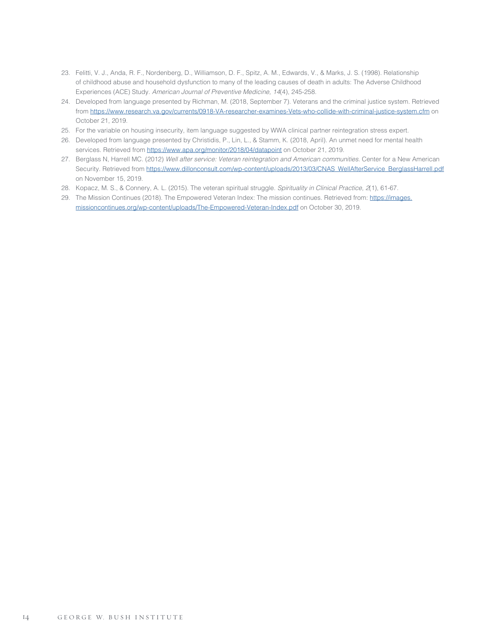- 23. Felitti, V. J., Anda, R. F., Nordenberg, D., Williamson, D. F., Spitz, A. M., Edwards, V., & Marks, J. S. (1998). Relationship of childhood abuse and household dysfunction to many of the leading causes of death in adults: The Adverse Childhood Experiences (ACE) Study. *American Journal of Preventive Medicine, 14*(4), 245-258.
- 24. Developed from language presented by Richman, M. (2018, September 7). Veterans and the criminal justice system. Retrieved from <https://www.research.va.gov/currents/0918-VA-researcher-examines-Vets-who-collide-with-criminal-justice-system.cfm>on October 21, 2019.
- 25. For the variable on housing insecurity, item language suggested by WWA clinical partner reintegration stress expert.
- 26. Developed from language presented by Christidis, P., Lin, L., & Stamm, K. (2018, April). An unmet need for mental health services. Retrieved from<https://www.apa.org/monitor/2018/04/datapoint> on October 21, 2019.
- 27. Berglass N, Harrell MC. (2012) *Well after service: Veteran reintegration and American communities.* Center for a New American Security. Retrieved from [https://www.dillonconsult.com/wp-content/uploads/2013/03/CNAS\\_WellAfterService\\_BerglassHarrell.pdf](https://www.dillonconsult.com/wp-content/uploads/2013/03/CNAS_WellAfterService_BerglassHarrell.pdf) on November 15, 2019.
- 28. Kopacz, M. S., & Connery, A. L. (2015). The veteran spiritual struggle. *Spirituality in Clinical Practice, 2*(1), 61-67.
- 29. The Mission Continues (2018). The Empowered Veteran Index: The mission continues. Retrieved from: [https://images.](https://images.missioncontinues.org/wp-content/uploads/The-Empowered-Veteran-Index.pdf) [missioncontinues.org/wp-content/uploads/The-Empowered-Veteran-Index.pdf](https://images.missioncontinues.org/wp-content/uploads/The-Empowered-Veteran-Index.pdf) on October 30, 2019.